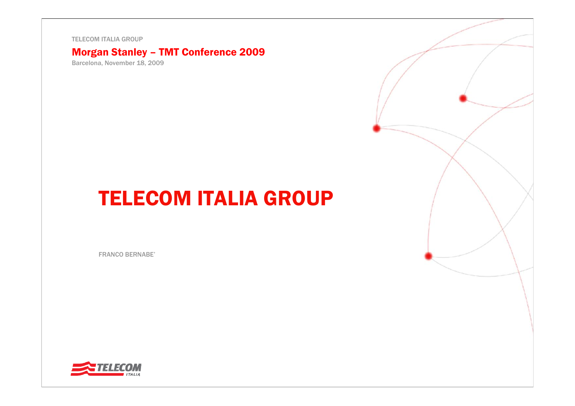TELECOM ITALIA GROUP

### Morgan Stanley – TMT Conference 2009

Barcelona, November 18, 2009

# TELECOM ITALIA GROUP

FRANCO BERNABE'

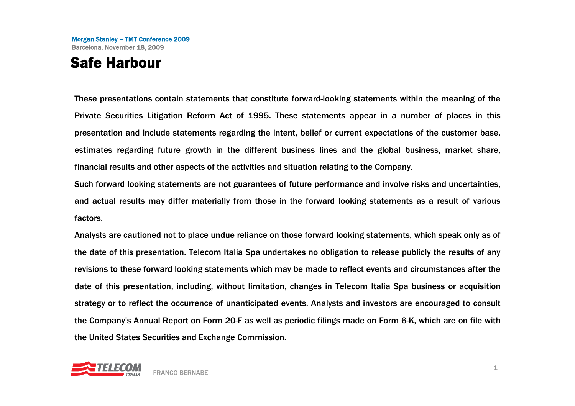### Safe Harbour

These presentations contain statements that constitute forward-looking statements within the meaning of the Private Securities Litigation Reform Act of 1995. These statements appear in a number of places in this presentation and include statements regarding the intent, belief or current expectations of the customer base, estimates regarding future growth in the different business lines and the global business, market share, financial results and other aspects of the activities and situation relating to the Company.

Such forward looking statements are not guarantees of future performance and involve risks and uncertainties, and actual results may differ materially from those in the forward looking statements as a result of various factors.

Analysts are cautioned not to place undue reliance on those forward looking statements, which speak only as of the date of this presentation. Telecom Italia Spa undertakes no obligation to release publicly the results of any revisions to these forward looking statements which may be made to reflect events and circumstances after the date of this presentation, including, without limitation, changes in Telecom Italia Spa business or acquisition strategy or to reflect the occurrence of unanticipated events. Analysts and investors are encouraged to consult the Company's Annual Report on Form 20-F as well as periodic filings made on Form 6-K, which are on file with the United States Securities and Exchange Commission.

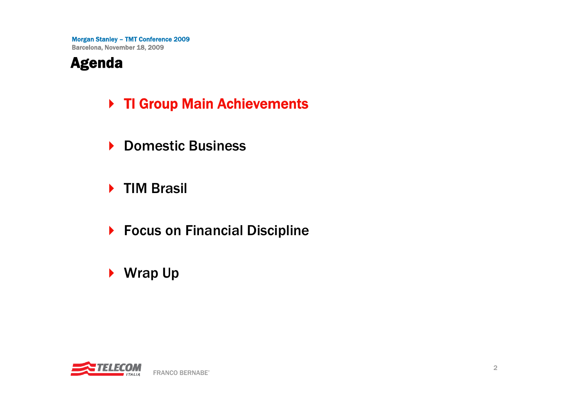### Agenda

- ▶ TI Group Main Achievements
- ▶ Domestic Business
- ▶ TIM Brasil
- ▶ Focus on Financial Discipline
- ▶ Wrap Up

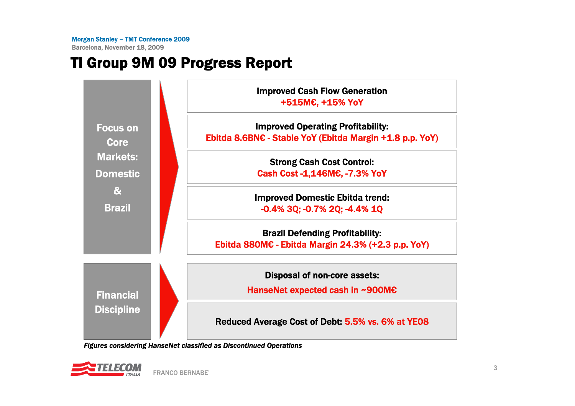Barcelona, November 18, 2009

# TI Group 9M 09 Progress Report



*Figures considering HanseNet classified as Discontinued Operations*

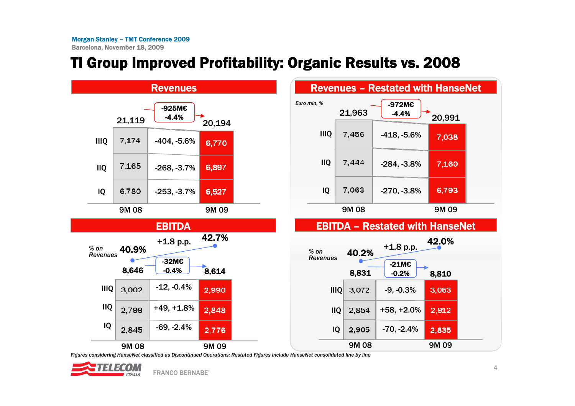# TI Group Improved Profitability: Organic Results vs. 2008



Figures considering HanseNet classified as Discontinued Operations; Restated Figures include HanseNet consolidated line by line



42.0%

3,063

2,912

2,835

7,038

7,160

6,793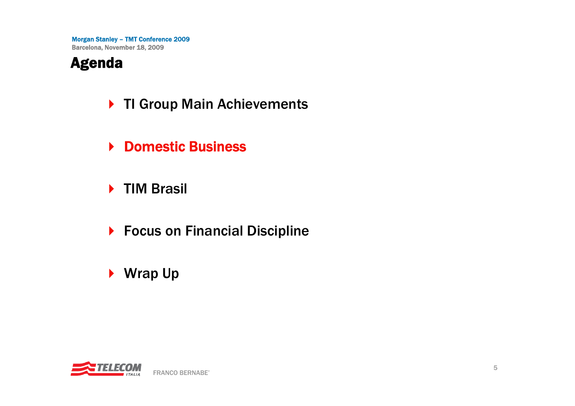### Agenda

- ▶ TI Group Main Achievements
- **▶ Domestic Business**
- ▶ TIM Brasil
- ▶ Focus on Financial Discipline
- ▶ Wrap Up

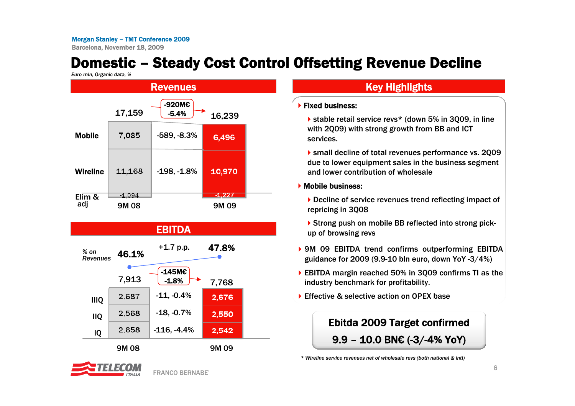Barcelona, November 18, 2009

# Domestic – Steady Cost Control Offsetting Revenue Decline

*Euro mln, Organic data, %*



### EBITDA

| $%$ on<br><b>Revenues</b> | 46.1% | $+1.7$ p.p.                | 47.8% |  |
|---------------------------|-------|----------------------------|-------|--|
|                           | 7,913 | $-145M\epsilon$<br>$-1.8%$ | 7,768 |  |
| <b>IIIQ</b>               | 2,687 | $-11, -0.4%$               | 2,676 |  |
| <b>IIQ</b>                | 2,568 | $-18, -0.7%$               | 2,550 |  |
| IQ                        | 2,658 | $-116, -4.4%$              | 2,542 |  |
|                           |       |                            |       |  |

9M 08



### **Key Highlights**

### **Fixed business:**

▶ stable retail service revs\* (down 5% in 3Q09, in line with 2Q09) with strong growth from BB and ICT services.

small decline of total revenues performance vs. 2Q09 due to lower equipment sales in the business segment and lower contribution of wholesale

### **Mobile business:**

▶ Decline of service revenues trend reflecting impact of repricing in 3Q08

- ▶ Strong push on mobile BB reflected into strong pickup of browsing revs
- ▶ 9M 09 EBITDA trend confirms outperforming EBITDA guidance for 2009 (9.9-10 bln euro, down YoY -3/4%)
- ▶ EBITDA margin reached 50% in 3Q09 confirms TI as the industry benchmark for profitability.
- ▶ Effective & selective action on OPEX base



*<sup>\*</sup> Wireline service revenues net of wholesale revs (both national & intl)*

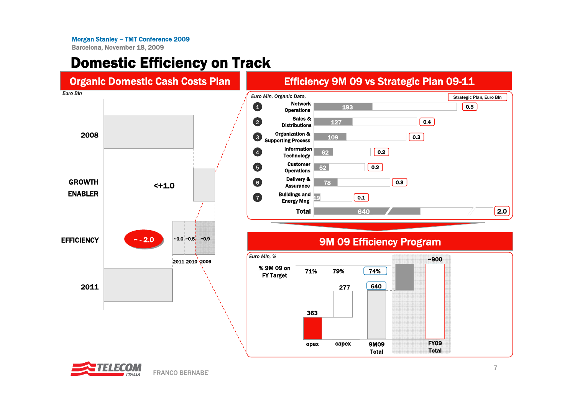Barcelona, November 18, 2009

### Domestic Efficiency on Track



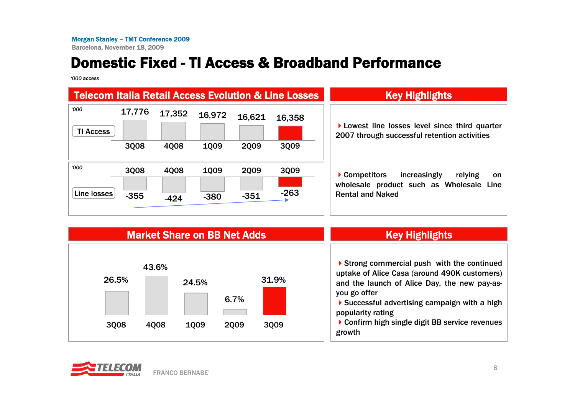# Domestic Fixed - TI Access & Broadband Performance

*'000 access*

|                          |             |        |             |             | <b>Telecom Italia Retail Access Evolution &amp; Line Losses</b> | <b>Key Highlights</b>                                                                        |
|--------------------------|-------------|--------|-------------|-------------|-----------------------------------------------------------------|----------------------------------------------------------------------------------------------|
| 000'<br><b>TI Access</b> | 17,776      | 17,352 | 16,972      | 16,621      | 16,358                                                          | Lowest line losses level since third quarter<br>2007 through successful retention activities |
|                          | 3008        | 4Q08   | <b>1009</b> | <b>2009</b> | 3009                                                            |                                                                                              |
| <b>000</b>               | <b>3008</b> | 4Q08   | <b>1009</b> | <b>2009</b> | 3Q09                                                            | ▶ Competitors<br>increasingly<br>relying<br>on.<br>wholesale product such as Wholesale Line  |
| Line losses              | $-355$      | $-424$ | $-380$      | $-351$      | $-263$                                                          | <b>Rental and Naked</b>                                                                      |



### **Key Highlights**

Strong commercial push with the continued uptake of Alice Casa (around 490K customers) and the launch of Alice Day, the new pay-asyou go offer

▶ Successful advertising campaign with a high popularity rating

▶ Confirm high single digit BB service revenues growth

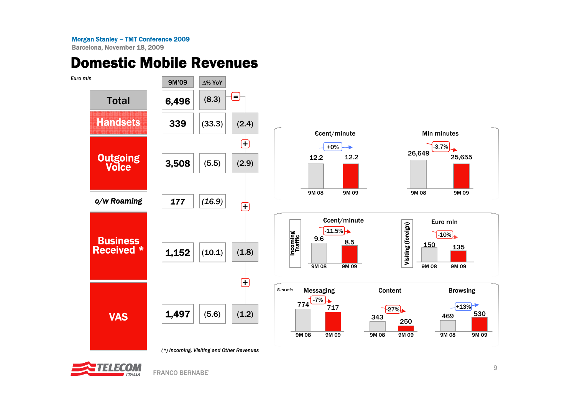Barcelona, November 18, 2009

### Domestic Mobile Revenues



*(\*) Incoming, Visiting and Other Revenues*



FRANCO BERNABE'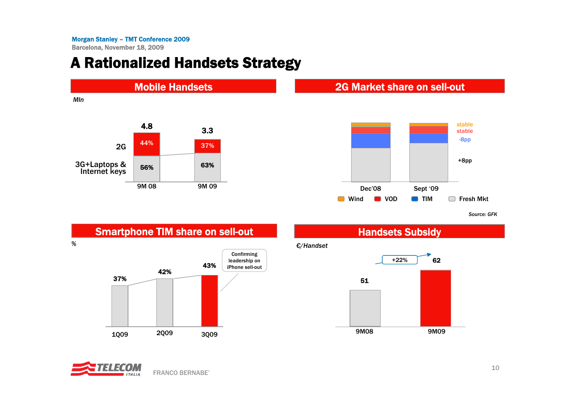### A Rationalized Handsets Strategy



*Source: GFK*



*€/Handset*



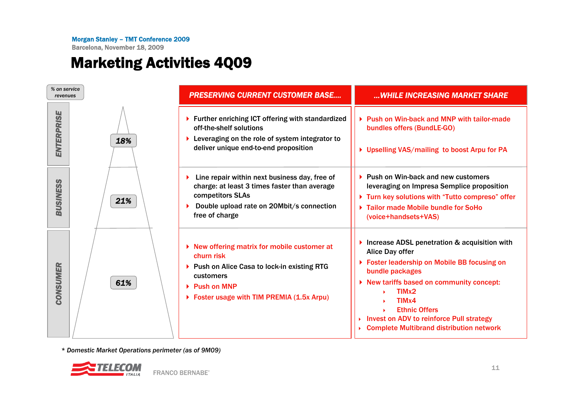Barcelona, November 18, 2009

# Marketing Activities 4Q09



*\* Domestic Market Operations perimeter (as of 9M09)*

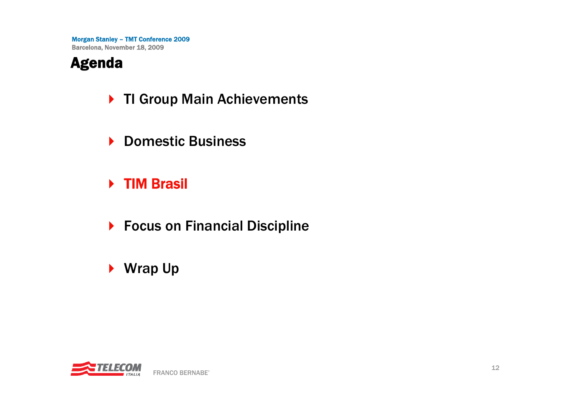### Agenda

- ▶ TI Group Main Achievements
- ▶ Domestic Business
- ▶ TIM Brasil
- ▶ Focus on Financial Discipline
- ▶ Wrap Up

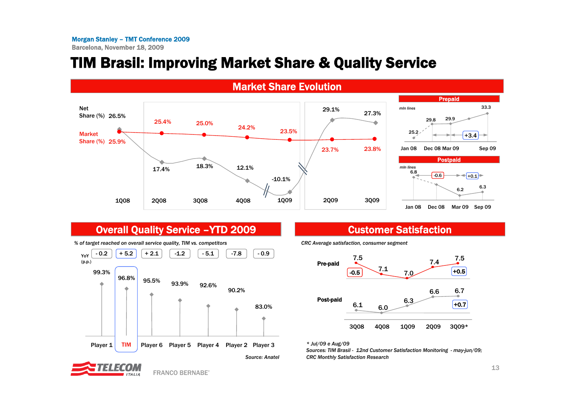# TIM Brasil: Improving Market Share & Quality Service



### Overall Quality Service – YTD 2009 Customer Satisfaction



*% of target reached on overall service quality, TIM vs. competitors*



*CRC Average satisfaction, consumer segment*

*\* Jul/09 e Aug/09*

*Sources: TIM Brasil - 12nd Customer Satisfaction Monitoring - may-jun/09; CRC Monthly Satisfaction Research*



FRANCO BERNABE'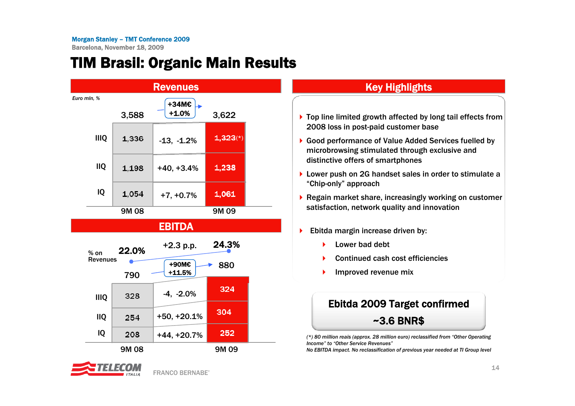Barcelona, November 18, 2009

### TIM Brasil: Organic Main Results





### Key Highlights

- ▶ Top line limited growth affected by long tail effects from 2008 loss in post-paid customer base
- ▶ Good performance of Value Added Services fuelled by microbrowsing stimulated through exclusive and distinctive offers of smartphones
- ▶ Lower push on 2G handset sales in order to stimulate a "Chip-only" approach
- ▶ Regain market share, increasingly working on customer satisfaction, network quality and innovation
- ▶ Ebitda margin increase driven by:
	- ▶ Lower bad debt
	- ▶ Continued cash cost efficiencies
	- ▶ Improved revenue mix

### Ebitda 2009 Target confirmed ~3.6 BNR\$

*(\*) 80 million reais (approx. 28 million euro) reclassified from "Other Operating Income" to "Other Service Revenues"*

*No EBITDA impact. No reclassification of previous year needed at TI Group level*

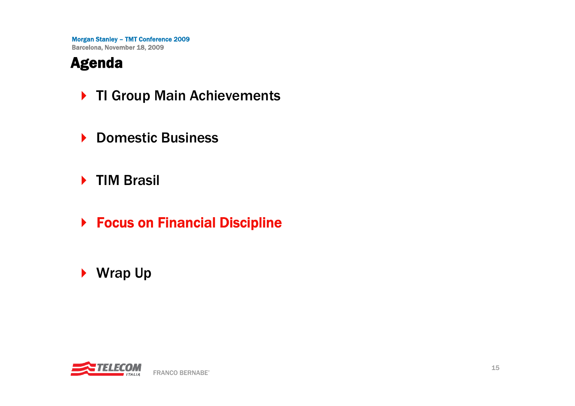# Agenda

- ▶ TI Group Main Achievements
- ▶ Domestic Business
- ▶ TIM Brasil
- ▶ Focus on Financial Discipline
- ▶ Wrap Up

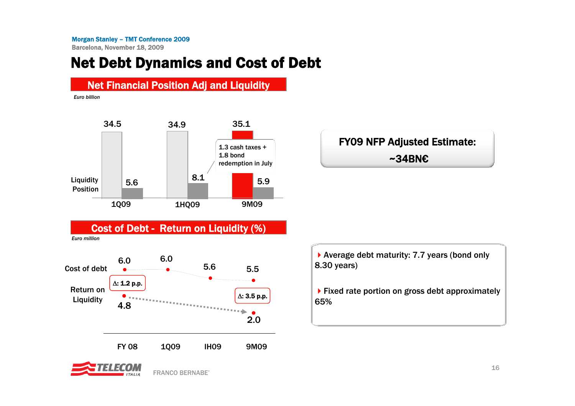### Net Debt Dynamics and Cost of Debt



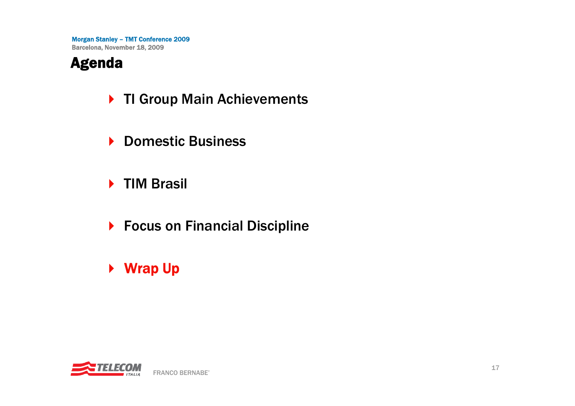### Agenda

- ▶ TI Group Main Achievements
- ▶ Domestic Business
- ▶ TIM Brasil
- ▶ Focus on Financial Discipline
- ▶ Wrap Up

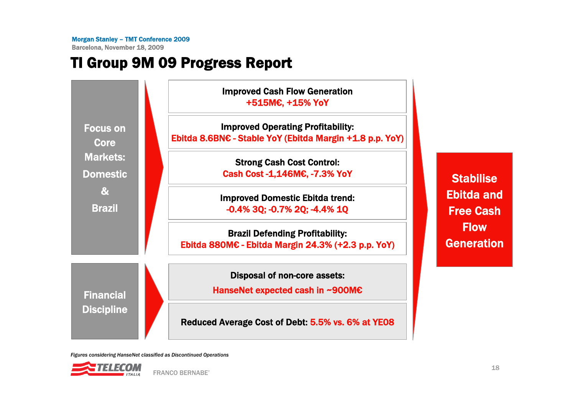Barcelona, November 18, 2009

# TI Group 9M 09 Progress Report



*Figures considering HanseNet classified as Discontinued Operations*

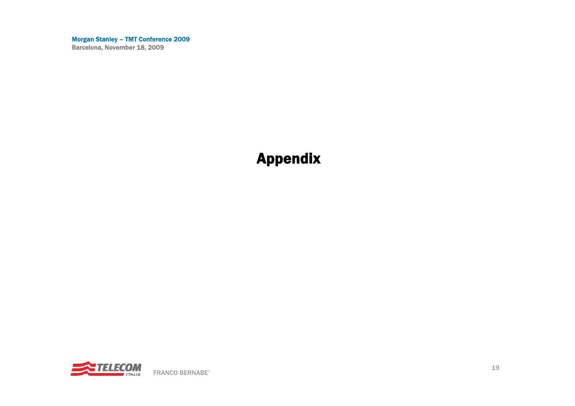### Appendix

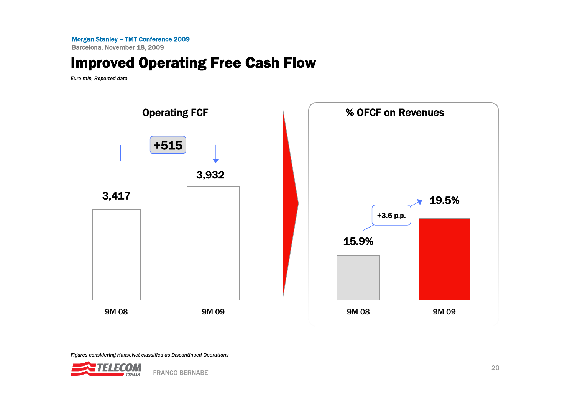Barcelona, November 18, 2009

### Improved Operating Free Cash Flow

*Euro mln, Reported data*



*Figures considering HanseNet classified as Discontinued Operations*

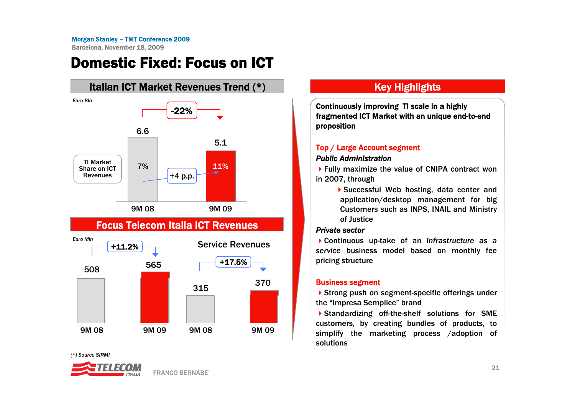### Domestic Fixed: Focus on ICT



### Focus Telecom Italia ICT Revenues



*(\*) Source SIRMI*



### Key Highlights

Continuously improving TI scale in a highly fragmented ICT Market with an unique end-to-end proposition

### Top / Large Account segment

#### *Public Administration*

▶ Fully maximize the value of CNIPA contract won in 2007, through

> Successful Web hosting, data center and application/desktop management for big Customers such as INPS, INAIL and Ministry of Justice

#### *Private sector*

Continuous up-take of an *Infrastructure as a service* business model based on monthly fee pricing structure

#### Business segment

▶ Strong push on segment-specific offerings under the "Impresa Semplice" brand

Standardizing off-the-shelf solutions for SME customers, by creating bundles of products, to simplify the marketing process /adoption of solutions

FRANCO BERNABE'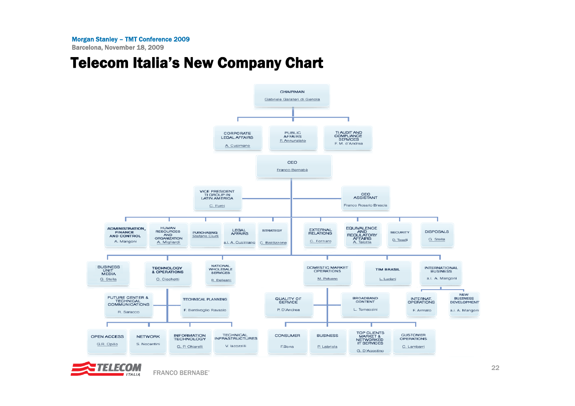Barcelona, November 18, 2009

### Telecom Italia's New Company Chart



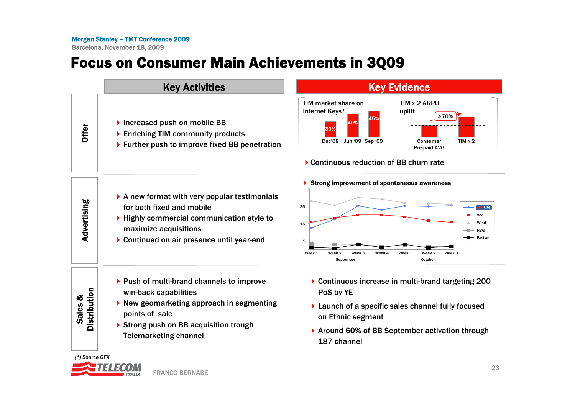# Focus on Consumer Main Achievements in 3Q09

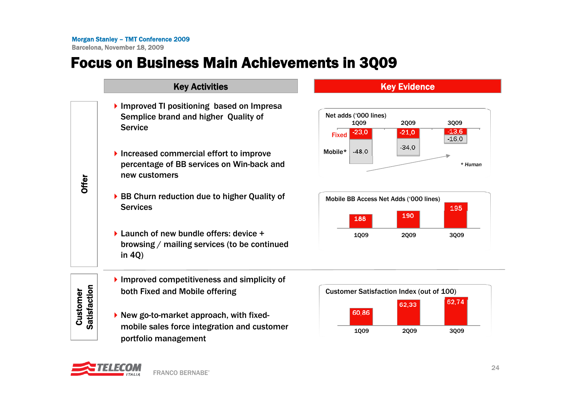## Focus on Business Main Achievements in 3Q09

| <b>Key Activities</b>                                                                                                                                                                                                                                                                                                                    |                                                                                                                                                                                                                                                        | <b>Key Evidence</b>                             |  |
|------------------------------------------------------------------------------------------------------------------------------------------------------------------------------------------------------------------------------------------------------------------------------------------------------------------------------------------|--------------------------------------------------------------------------------------------------------------------------------------------------------------------------------------------------------------------------------------------------------|-------------------------------------------------|--|
| Improved TI positioning based on Impresa<br>Semplice brand and higher Quality of<br><b>Service</b><br>Increased commercial effort to improve<br>percentage of BB services on Win-back and<br>new customers<br>▶ BB Churn reduction due to higher Quality of<br><b>Services</b><br>$\triangleright$ Launch of new bundle offers: device + | Net adds ('000 lines)<br><b>2009</b><br>1009<br>3009<br>$-13,6$<br>$-23,0$<br>$-21,0$<br><b>Fixed</b><br>$-16.0$<br>$-34,0$<br>$-48.0$<br>Mobile*<br>Mobile BB Access Net Adds ('000 lines)<br>195<br>190<br>188<br><b>1009</b><br><b>2009</b><br>3009 |                                                 |  |
| in $4Q$ )<br>$\blacktriangleright$ Improved competitiveness and simplicity of<br>both Fixed and Mobile offering<br>New go-to-market approach, with fixed-<br>mobile sales force integration and customer                                                                                                                                 | 60,86<br>1009                                                                                                                                                                                                                                          | 62,74<br>62,33<br>3Q09<br>2009                  |  |
|                                                                                                                                                                                                                                                                                                                                          | browsing / mailing services (to be continued                                                                                                                                                                                                           | <b>Customer Satisfaction Index (out of 100)</b> |  |

### **Key Evidence**









portfolio management